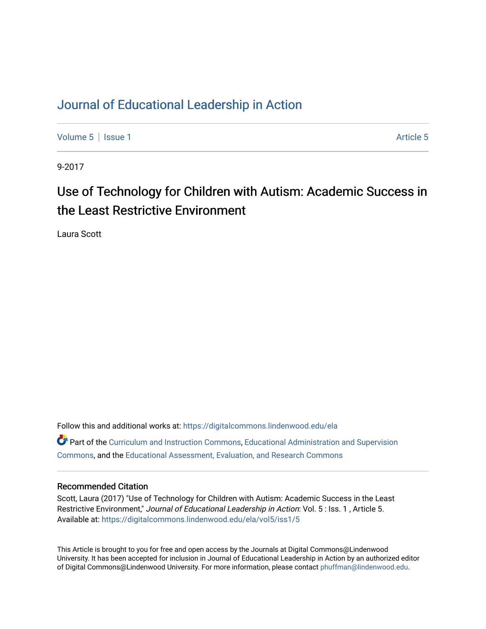#### [Journal of Educational Leadership in Action](https://digitalcommons.lindenwood.edu/ela)

[Volume 5](https://digitalcommons.lindenwood.edu/ela/vol5) | [Issue 1](https://digitalcommons.lindenwood.edu/ela/vol5/iss1) Article 5

9-2017

# Use of Technology for Children with Autism: Academic Success in the Least Restrictive Environment

Laura Scott

Follow this and additional works at: [https://digitalcommons.lindenwood.edu/ela](https://digitalcommons.lindenwood.edu/ela?utm_source=digitalcommons.lindenwood.edu%2Fela%2Fvol5%2Fiss1%2F5&utm_medium=PDF&utm_campaign=PDFCoverPages)  Part of the [Curriculum and Instruction Commons,](http://network.bepress.com/hgg/discipline/786?utm_source=digitalcommons.lindenwood.edu%2Fela%2Fvol5%2Fiss1%2F5&utm_medium=PDF&utm_campaign=PDFCoverPages) [Educational Administration and Supervision](http://network.bepress.com/hgg/discipline/787?utm_source=digitalcommons.lindenwood.edu%2Fela%2Fvol5%2Fiss1%2F5&utm_medium=PDF&utm_campaign=PDFCoverPages)  [Commons](http://network.bepress.com/hgg/discipline/787?utm_source=digitalcommons.lindenwood.edu%2Fela%2Fvol5%2Fiss1%2F5&utm_medium=PDF&utm_campaign=PDFCoverPages), and the [Educational Assessment, Evaluation, and Research Commons](http://network.bepress.com/hgg/discipline/796?utm_source=digitalcommons.lindenwood.edu%2Fela%2Fvol5%2Fiss1%2F5&utm_medium=PDF&utm_campaign=PDFCoverPages)

#### Recommended Citation

Scott, Laura (2017) "Use of Technology for Children with Autism: Academic Success in the Least Restrictive Environment," Journal of Educational Leadership in Action: Vol. 5 : Iss. 1, Article 5. Available at: [https://digitalcommons.lindenwood.edu/ela/vol5/iss1/5](https://digitalcommons.lindenwood.edu/ela/vol5/iss1/5?utm_source=digitalcommons.lindenwood.edu%2Fela%2Fvol5%2Fiss1%2F5&utm_medium=PDF&utm_campaign=PDFCoverPages) 

This Article is brought to you for free and open access by the Journals at Digital Commons@Lindenwood University. It has been accepted for inclusion in Journal of Educational Leadership in Action by an authorized editor of Digital Commons@Lindenwood University. For more information, please contact [phuffman@lindenwood.edu](mailto:phuffman@lindenwood.edu).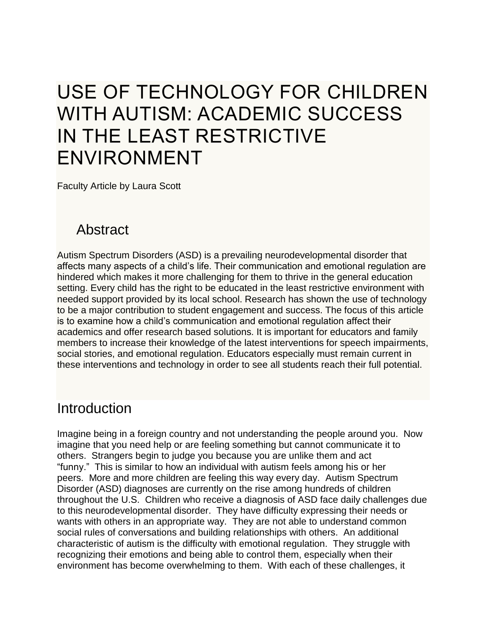# USE OF TECHNOLOGY FOR CHILDREN WITH AUTISM: ACADEMIC SUCCESS IN THE LEAST RESTRICTIVE ENVIRONMENT

Faculty Article by Laura Scott

# Abstract

Autism Spectrum Disorders (ASD) is a prevailing neurodevelopmental disorder that affects many aspects of a child's life. Their communication and emotional regulation are hindered which makes it more challenging for them to thrive in the general education setting. Every child has the right to be educated in the least restrictive environment with needed support provided by its local school. Research has shown the use of technology to be a major contribution to student engagement and success. The focus of this article is to examine how a child's communication and emotional regulation affect their academics and offer research based solutions. It is important for educators and family members to increase their knowledge of the latest interventions for speech impairments, social stories, and emotional regulation. Educators especially must remain current in these interventions and technology in order to see all students reach their full potential.

#### Introduction

Imagine being in a foreign country and not understanding the people around you. Now imagine that you need help or are feeling something but cannot communicate it to others. Strangers begin to judge you because you are unlike them and act "funny." This is similar to how an individual with autism feels among his or her peers. More and more children are feeling this way every day. Autism Spectrum Disorder (ASD) diagnoses are currently on the rise among hundreds of children throughout the U.S. Children who receive a diagnosis of ASD face daily challenges due to this neurodevelopmental disorder. They have difficulty expressing their needs or wants with others in an appropriate way. They are not able to understand common social rules of conversations and building relationships with others. An additional characteristic of autism is the difficulty with emotional regulation. They struggle with recognizing their emotions and being able to control them, especially when their environment has become overwhelming to them. With each of these challenges, it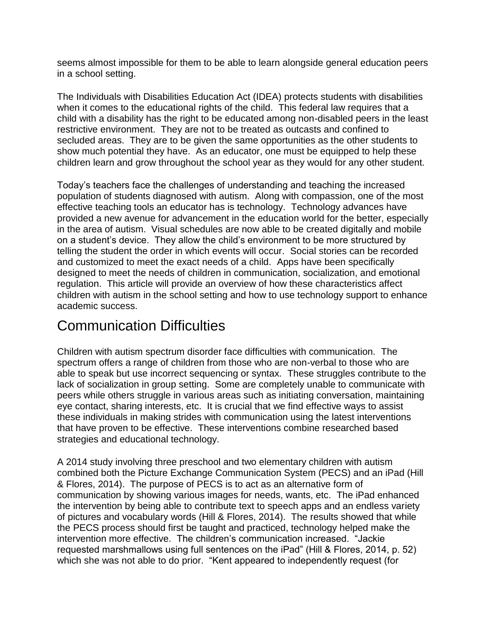seems almost impossible for them to be able to learn alongside general education peers in a school setting.

The Individuals with Disabilities Education Act (IDEA) protects students with disabilities when it comes to the educational rights of the child. This federal law requires that a child with a disability has the right to be educated among non-disabled peers in the least restrictive environment. They are not to be treated as outcasts and confined to secluded areas. They are to be given the same opportunities as the other students to show much potential they have. As an educator, one must be equipped to help these children learn and grow throughout the school year as they would for any other student.

Today's teachers face the challenges of understanding and teaching the increased population of students diagnosed with autism. Along with compassion, one of the most effective teaching tools an educator has is technology. Technology advances have provided a new avenue for advancement in the education world for the better, especially in the area of autism. Visual schedules are now able to be created digitally and mobile on a student's device. They allow the child's environment to be more structured by telling the student the order in which events will occur. Social stories can be recorded and customized to meet the exact needs of a child. Apps have been specifically designed to meet the needs of children in communication, socialization, and emotional regulation. This article will provide an overview of how these characteristics affect children with autism in the school setting and how to use technology support to enhance academic success.

#### Communication Difficulties

Children with autism spectrum disorder face difficulties with communication. The spectrum offers a range of children from those who are non-verbal to those who are able to speak but use incorrect sequencing or syntax. These struggles contribute to the lack of socialization in group setting. Some are completely unable to communicate with peers while others struggle in various areas such as initiating conversation, maintaining eye contact, sharing interests, etc. It is crucial that we find effective ways to assist these individuals in making strides with communication using the latest interventions that have proven to be effective. These interventions combine researched based strategies and educational technology.

A 2014 study involving three preschool and two elementary children with autism combined both the Picture Exchange Communication System (PECS) and an iPad (Hill & Flores, 2014). The purpose of PECS is to act as an alternative form of communication by showing various images for needs, wants, etc. The iPad enhanced the intervention by being able to contribute text to speech apps and an endless variety of pictures and vocabulary words (Hill & Flores, 2014). The results showed that while the PECS process should first be taught and practiced, technology helped make the intervention more effective. The children's communication increased. "Jackie requested marshmallows using full sentences on the iPad" (Hill & Flores, 2014, p. 52) which she was not able to do prior. "Kent appeared to independently request (for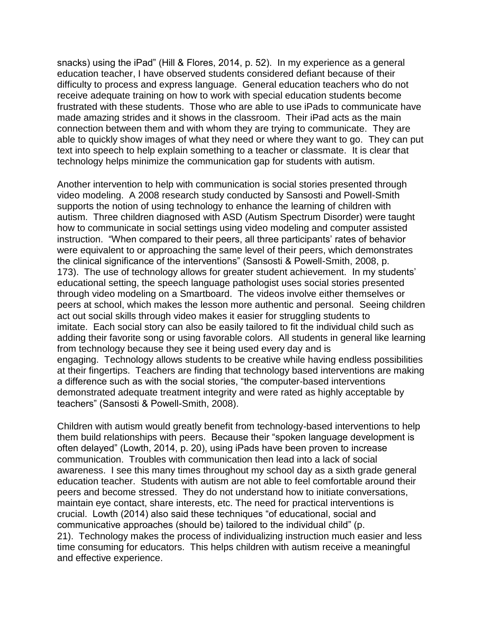snacks) using the iPad" (Hill & Flores, 2014, p. 52). In my experience as a general education teacher, I have observed students considered defiant because of their difficulty to process and express language. General education teachers who do not receive adequate training on how to work with special education students become frustrated with these students. Those who are able to use iPads to communicate have made amazing strides and it shows in the classroom. Their iPad acts as the main connection between them and with whom they are trying to communicate. They are able to quickly show images of what they need or where they want to go. They can put text into speech to help explain something to a teacher or classmate. It is clear that technology helps minimize the communication gap for students with autism.

Another intervention to help with communication is social stories presented through video modeling. A 2008 research study conducted by Sansosti and Powell-Smith supports the notion of using technology to enhance the learning of children with autism. Three children diagnosed with ASD (Autism Spectrum Disorder) were taught how to communicate in social settings using video modeling and computer assisted instruction. "When compared to their peers, all three participants' rates of behavior were equivalent to or approaching the same level of their peers, which demonstrates the clinical significance of the interventions" (Sansosti & Powell-Smith, 2008, p. 173). The use of technology allows for greater student achievement. In my students' educational setting, the speech language pathologist uses social stories presented through video modeling on a Smartboard. The videos involve either themselves or peers at school, which makes the lesson more authentic and personal. Seeing children act out social skills through video makes it easier for struggling students to imitate. Each social story can also be easily tailored to fit the individual child such as adding their favorite song or using favorable colors. All students in general like learning from technology because they see it being used every day and is engaging. Technology allows students to be creative while having endless possibilities at their fingertips. Teachers are finding that technology based interventions are making a difference such as with the social stories, "the computer-based interventions demonstrated adequate treatment integrity and were rated as highly acceptable by teachers" (Sansosti & Powell-Smith, 2008).

Children with autism would greatly benefit from technology-based interventions to help them build relationships with peers. Because their "spoken language development is often delayed" (Lowth, 2014, p. 20), using iPads have been proven to increase communication. Troubles with communication then lead into a lack of social awareness. I see this many times throughout my school day as a sixth grade general education teacher. Students with autism are not able to feel comfortable around their peers and become stressed. They do not understand how to initiate conversations, maintain eye contact, share interests, etc. The need for practical interventions is crucial. Lowth (2014) also said these techniques "of educational, social and communicative approaches (should be) tailored to the individual child" (p. 21). Technology makes the process of individualizing instruction much easier and less time consuming for educators. This helps children with autism receive a meaningful and effective experience.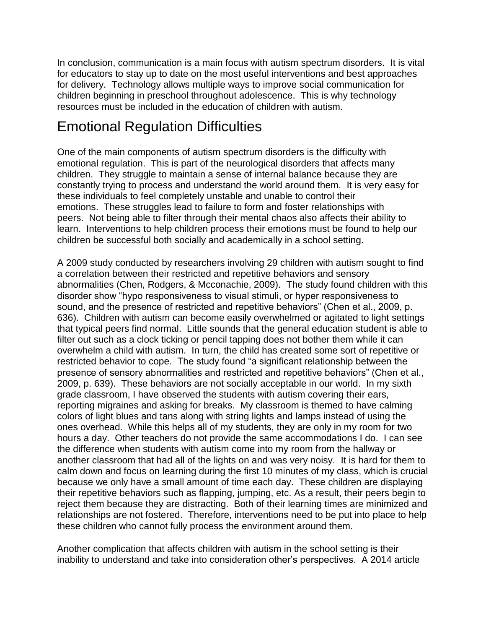In conclusion, communication is a main focus with autism spectrum disorders. It is vital for educators to stay up to date on the most useful interventions and best approaches for delivery. Technology allows multiple ways to improve social communication for children beginning in preschool throughout adolescence. This is why technology resources must be included in the education of children with autism.

# Emotional Regulation Difficulties

One of the main components of autism spectrum disorders is the difficulty with emotional regulation. This is part of the neurological disorders that affects many children. They struggle to maintain a sense of internal balance because they are constantly trying to process and understand the world around them. It is very easy for these individuals to feel completely unstable and unable to control their emotions. These struggles lead to failure to form and foster relationships with peers. Not being able to filter through their mental chaos also affects their ability to learn. Interventions to help children process their emotions must be found to help our children be successful both socially and academically in a school setting.

A 2009 study conducted by researchers involving 29 children with autism sought to find a correlation between their restricted and repetitive behaviors and sensory abnormalities (Chen, Rodgers, & Mcconachie, 2009). The study found children with this disorder show "hypo responsiveness to visual stimuli, or hyper responsiveness to sound, and the presence of restricted and repetitive behaviors" (Chen et al., 2009, p. 636). Children with autism can become easily overwhelmed or agitated to light settings that typical peers find normal. Little sounds that the general education student is able to filter out such as a clock ticking or pencil tapping does not bother them while it can overwhelm a child with autism. In turn, the child has created some sort of repetitive or restricted behavior to cope. The study found "a significant relationship between the presence of sensory abnormalities and restricted and repetitive behaviors" (Chen et al., 2009, p. 639). These behaviors are not socially acceptable in our world. In my sixth grade classroom, I have observed the students with autism covering their ears, reporting migraines and asking for breaks. My classroom is themed to have calming colors of light blues and tans along with string lights and lamps instead of using the ones overhead. While this helps all of my students, they are only in my room for two hours a day. Other teachers do not provide the same accommodations I do. I can see the difference when students with autism come into my room from the hallway or another classroom that had all of the lights on and was very noisy. It is hard for them to calm down and focus on learning during the first 10 minutes of my class, which is crucial because we only have a small amount of time each day. These children are displaying their repetitive behaviors such as flapping, jumping, etc. As a result, their peers begin to reject them because they are distracting. Both of their learning times are minimized and relationships are not fostered. Therefore, interventions need to be put into place to help these children who cannot fully process the environment around them.

Another complication that affects children with autism in the school setting is their inability to understand and take into consideration other's perspectives. A 2014 article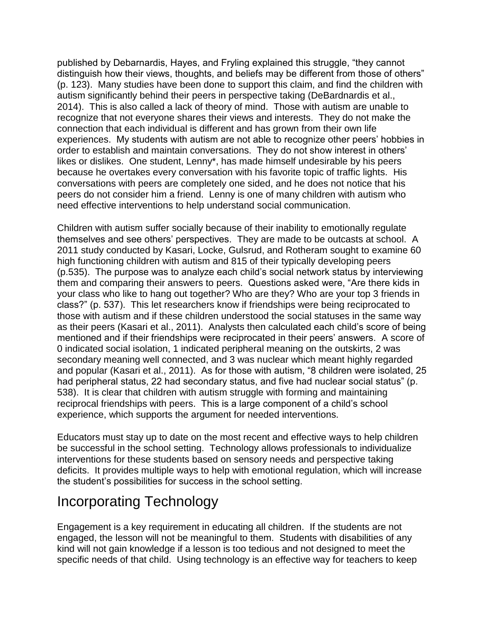published by Debarnardis, Hayes, and Fryling explained this struggle, "they cannot distinguish how their views, thoughts, and beliefs may be different from those of others" (p. 123). Many studies have been done to support this claim, and find the children with autism significantly behind their peers in perspective taking (DeBardnardis et al., 2014). This is also called a lack of theory of mind. Those with autism are unable to recognize that not everyone shares their views and interests. They do not make the connection that each individual is different and has grown from their own life experiences. My students with autism are not able to recognize other peers' hobbies in order to establish and maintain conversations. They do not show interest in others' likes or dislikes. One student, Lenny\*, has made himself undesirable by his peers because he overtakes every conversation with his favorite topic of traffic lights. His conversations with peers are completely one sided, and he does not notice that his peers do not consider him a friend. Lenny is one of many children with autism who need effective interventions to help understand social communication.

Children with autism suffer socially because of their inability to emotionally regulate themselves and see others' perspectives. They are made to be outcasts at school. A 2011 study conducted by Kasari, Locke, Gulsrud, and Rotheram sought to examine 60 high functioning children with autism and 815 of their typically developing peers (p.535). The purpose was to analyze each child's social network status by interviewing them and comparing their answers to peers. Questions asked were, "Are there kids in your class who like to hang out together? Who are they? Who are your top 3 friends in class?" (p. 537). This let researchers know if friendships were being reciprocated to those with autism and if these children understood the social statuses in the same way as their peers (Kasari et al., 2011). Analysts then calculated each child's score of being mentioned and if their friendships were reciprocated in their peers' answers. A score of 0 indicated social isolation, 1 indicated peripheral meaning on the outskirts, 2 was secondary meaning well connected, and 3 was nuclear which meant highly regarded and popular (Kasari et al., 2011). As for those with autism, "8 children were isolated, 25 had peripheral status, 22 had secondary status, and five had nuclear social status" (p. 538). It is clear that children with autism struggle with forming and maintaining reciprocal friendships with peers. This is a large component of a child's school experience, which supports the argument for needed interventions.

Educators must stay up to date on the most recent and effective ways to help children be successful in the school setting. Technology allows professionals to individualize interventions for these students based on sensory needs and perspective taking deficits. It provides multiple ways to help with emotional regulation, which will increase the student's possibilities for success in the school setting.

# Incorporating Technology

Engagement is a key requirement in educating all children. If the students are not engaged, the lesson will not be meaningful to them. Students with disabilities of any kind will not gain knowledge if a lesson is too tedious and not designed to meet the specific needs of that child. Using technology is an effective way for teachers to keep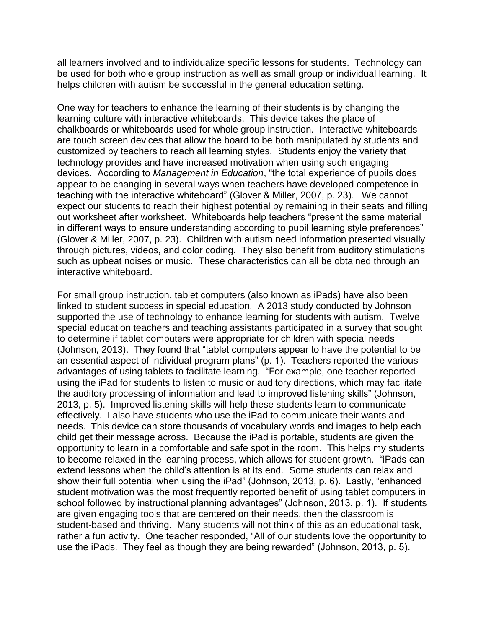all learners involved and to individualize specific lessons for students. Technology can be used for both whole group instruction as well as small group or individual learning. It helps children with autism be successful in the general education setting.

One way for teachers to enhance the learning of their students is by changing the learning culture with interactive whiteboards. This device takes the place of chalkboards or whiteboards used for whole group instruction. Interactive whiteboards are touch screen devices that allow the board to be both manipulated by students and customized by teachers to reach all learning styles. Students enjoy the variety that technology provides and have increased motivation when using such engaging devices. According to *Management in Education*, "the total experience of pupils does appear to be changing in several ways when teachers have developed competence in teaching with the interactive whiteboard" (Glover & Miller, 2007, p. 23). We cannot expect our students to reach their highest potential by remaining in their seats and filling out worksheet after worksheet. Whiteboards help teachers "present the same material in different ways to ensure understanding according to pupil learning style preferences" (Glover & Miller, 2007, p. 23). Children with autism need information presented visually through pictures, videos, and color coding. They also benefit from auditory stimulations such as upbeat noises or music. These characteristics can all be obtained through an interactive whiteboard.

For small group instruction, tablet computers (also known as iPads) have also been linked to student success in special education. A 2013 study conducted by Johnson supported the use of technology to enhance learning for students with autism. Twelve special education teachers and teaching assistants participated in a survey that sought to determine if tablet computers were appropriate for children with special needs (Johnson, 2013). They found that "tablet computers appear to have the potential to be an essential aspect of individual program plans" (p. 1). Teachers reported the various advantages of using tablets to facilitate learning. "For example, one teacher reported using the iPad for students to listen to music or auditory directions, which may facilitate the auditory processing of information and lead to improved listening skills" (Johnson, 2013, p. 5). Improved listening skills will help these students learn to communicate effectively. I also have students who use the iPad to communicate their wants and needs. This device can store thousands of vocabulary words and images to help each child get their message across. Because the iPad is portable, students are given the opportunity to learn in a comfortable and safe spot in the room. This helps my students to become relaxed in the learning process, which allows for student growth. "iPads can extend lessons when the child's attention is at its end. Some students can relax and show their full potential when using the iPad" (Johnson, 2013, p. 6). Lastly, "enhanced student motivation was the most frequently reported benefit of using tablet computers in school followed by instructional planning advantages" (Johnson, 2013, p. 1). If students are given engaging tools that are centered on their needs, then the classroom is student-based and thriving. Many students will not think of this as an educational task, rather a fun activity. One teacher responded, "All of our students love the opportunity to use the iPads. They feel as though they are being rewarded" (Johnson, 2013, p. 5).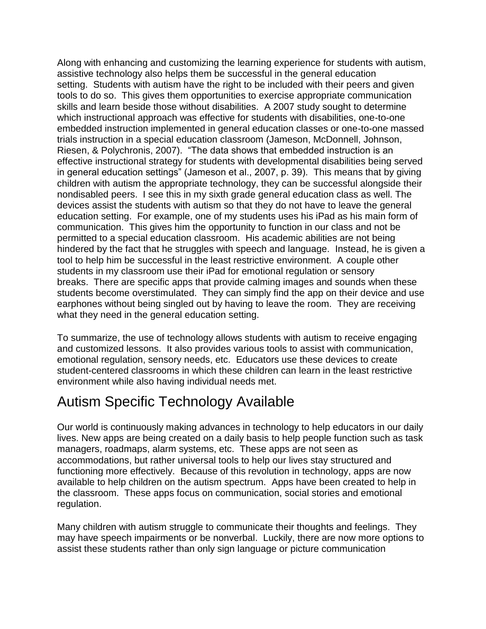Along with enhancing and customizing the learning experience for students with autism, assistive technology also helps them be successful in the general education setting. Students with autism have the right to be included with their peers and given tools to do so. This gives them opportunities to exercise appropriate communication skills and learn beside those without disabilities. A 2007 study sought to determine which instructional approach was effective for students with disabilities, one-to-one embedded instruction implemented in general education classes or one-to-one massed trials instruction in a special education classroom (Jameson, McDonnell, Johnson, Riesen, & Polychronis, 2007). "The data shows that embedded instruction is an effective instructional strategy for students with developmental disabilities being served in general education settings" (Jameson et al., 2007, p. 39). This means that by giving children with autism the appropriate technology, they can be successful alongside their nondisabled peers. I see this in my sixth grade general education class as well. The devices assist the students with autism so that they do not have to leave the general education setting. For example, one of my students uses his iPad as his main form of communication. This gives him the opportunity to function in our class and not be permitted to a special education classroom. His academic abilities are not being hindered by the fact that he struggles with speech and language. Instead, he is given a tool to help him be successful in the least restrictive environment. A couple other students in my classroom use their iPad for emotional regulation or sensory breaks. There are specific apps that provide calming images and sounds when these students become overstimulated. They can simply find the app on their device and use earphones without being singled out by having to leave the room. They are receiving what they need in the general education setting.

To summarize, the use of technology allows students with autism to receive engaging and customized lessons. It also provides various tools to assist with communication, emotional regulation, sensory needs, etc. Educators use these devices to create student-centered classrooms in which these children can learn in the least restrictive environment while also having individual needs met.

# Autism Specific Technology Available

Our world is continuously making advances in technology to help educators in our daily lives. New apps are being created on a daily basis to help people function such as task managers, roadmaps, alarm systems, etc. These apps are not seen as accommodations, but rather universal tools to help our lives stay structured and functioning more effectively. Because of this revolution in technology, apps are now available to help children on the autism spectrum. Apps have been created to help in the classroom. These apps focus on communication, social stories and emotional regulation.

Many children with autism struggle to communicate their thoughts and feelings. They may have speech impairments or be nonverbal. Luckily, there are now more options to assist these students rather than only sign language or picture communication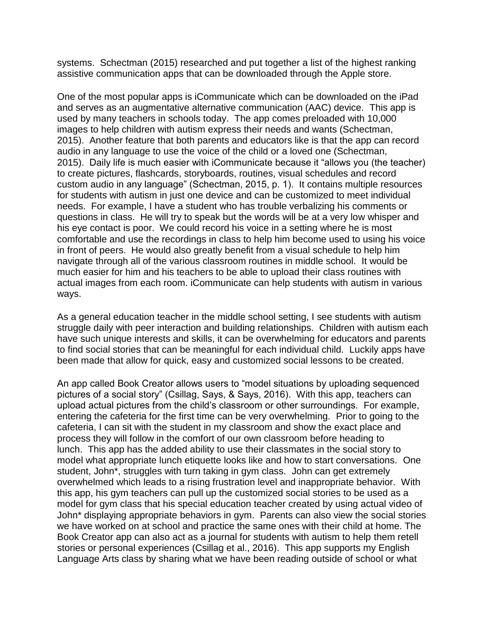systems. Schectman (2015) researched and put together a list of the highest ranking assistive communication apps that can be downloaded through the Apple store.

One of the most popular apps is iCommunicate which can be downloaded on the iPad and serves as an augmentative alternative communication (AAC) device. This app is used by many teachers in schools today. The app comes preloaded with 10,000 images to help children with autism express their needs and wants (Schectman, 2015). Another feature that both parents and educators like is that the app can record audio in any language to use the voice of the child or a loved one (Schectman, 2015). Daily life is much easier with iCommunicate because it "allows you (the teacher) to create pictures, flashcards, storyboards, routines, visual schedules and record custom audio in any language" (Schectman, 2015, p. 1). It contains multiple resources for students with autism in just one device and can be customized to meet individual needs. For example, I have a student who has trouble verbalizing his comments or questions in class. He will try to speak but the words will be at a very low whisper and his eye contact is poor. We could record his voice in a setting where he is most comfortable and use the recordings in class to help him become used to using his voice in front of peers. He would also greatly benefit from a visual schedule to help him navigate through all of the various classroom routines in middle school. It would be much easier for him and his teachers to be able to upload their class routines with actual images from each room. iCommunicate can help students with autism in various ways.

As a general education teacher in the middle school setting, I see students with autism struggle daily with peer interaction and building relationships. Children with autism each have such unique interests and skills, it can be overwhelming for educators and parents to find social stories that can be meaningful for each individual child. Luckily apps have been made that allow for quick, easy and customized social lessons to be created.

An app called Book Creator allows users to "model situations by uploading sequenced pictures of a social story" (Csillag, Says, & Says, 2016). With this app, teachers can upload actual pictures from the child's classroom or other surroundings. For example, entering the cafeteria for the first time can be very overwhelming. Prior to going to the cafeteria, I can sit with the student in my classroom and show the exact place and process they will follow in the comfort of our own classroom before heading to lunch. This app has the added ability to use their classmates in the social story to model what appropriate lunch etiquette looks like and how to start conversations. One student, John\*, struggles with turn taking in gym class. John can get extremely overwhelmed which leads to a rising frustration level and inappropriate behavior. With this app, his gym teachers can pull up the customized social stories to be used as a model for gym class that his special education teacher created by using actual video of John\* displaying appropriate behaviors in gym. Parents can also view the social stories we have worked on at school and practice the same ones with their child at home. The Book Creator app can also act as a journal for students with autism to help them retell stories or personal experiences (Csillag et al., 2016). This app supports my English Language Arts class by sharing what we have been reading outside of school or what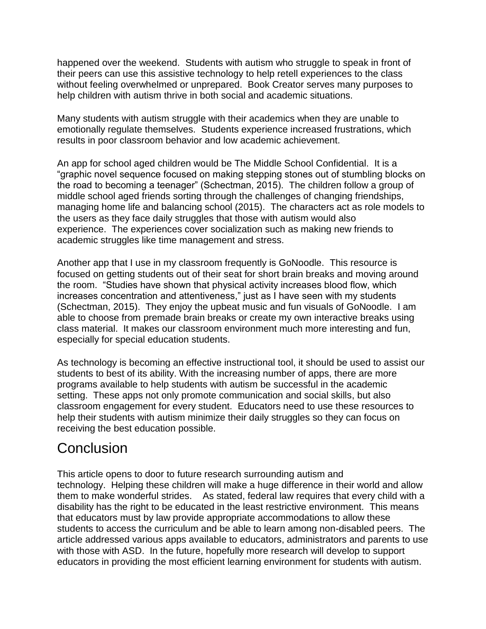happened over the weekend. Students with autism who struggle to speak in front of their peers can use this assistive technology to help retell experiences to the class without feeling overwhelmed or unprepared. Book Creator serves many purposes to help children with autism thrive in both social and academic situations.

Many students with autism struggle with their academics when they are unable to emotionally regulate themselves. Students experience increased frustrations, which results in poor classroom behavior and low academic achievement.

An app for school aged children would be The Middle School Confidential. It is a "graphic novel sequence focused on making stepping stones out of stumbling blocks on the road to becoming a teenager" (Schectman, 2015). The children follow a group of middle school aged friends sorting through the challenges of changing friendships, managing home life and balancing school (2015). The characters act as role models to the users as they face daily struggles that those with autism would also experience. The experiences cover socialization such as making new friends to academic struggles like time management and stress.

Another app that I use in my classroom frequently is GoNoodle. This resource is focused on getting students out of their seat for short brain breaks and moving around the room. "Studies have shown that physical activity increases blood flow, which increases concentration and attentiveness," just as I have seen with my students (Schectman, 2015). They enjoy the upbeat music and fun visuals of GoNoodle. I am able to choose from premade brain breaks or create my own interactive breaks using class material. It makes our classroom environment much more interesting and fun, especially for special education students.

As technology is becoming an effective instructional tool, it should be used to assist our students to best of its ability. With the increasing number of apps, there are more programs available to help students with autism be successful in the academic setting. These apps not only promote communication and social skills, but also classroom engagement for every student. Educators need to use these resources to help their students with autism minimize their daily struggles so they can focus on receiving the best education possible.

# **Conclusion**

This article opens to door to future research surrounding autism and technology. Helping these children will make a huge difference in their world and allow them to make wonderful strides. As stated, federal law requires that every child with a disability has the right to be educated in the least restrictive environment. This means that educators must by law provide appropriate accommodations to allow these students to access the curriculum and be able to learn among non-disabled peers. The article addressed various apps available to educators, administrators and parents to use with those with ASD. In the future, hopefully more research will develop to support educators in providing the most efficient learning environment for students with autism.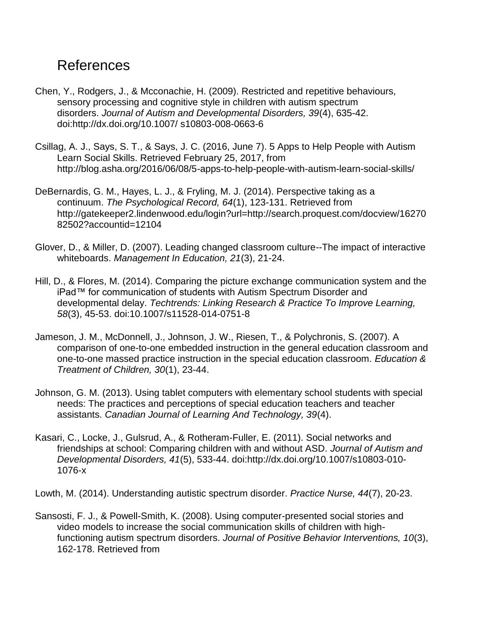### References

- Chen, Y., Rodgers, J., & Mcconachie, H. (2009). Restricted and repetitive behaviours, sensory processing and cognitive style in children with autism spectrum disorders. *Journal of Autism and Developmental Disorders, 39*(4), 635-42. doi:http://dx.doi.org/10.1007/ s10803-008-0663-6
- Csillag, A. J., Says, S. T., & Says, J. C. (2016, June 7). 5 Apps to Help People with Autism Learn Social Skills. Retrieved February 25, 2017, from http://blog.asha.org/2016/06/08/5-apps-to-help-people-with-autism-learn-social-skills/
- DeBernardis, G. M., Hayes, L. J., & Fryling, M. J. (2014). Perspective taking as a continuum. *The Psychological Record, 64*(1), 123-131. Retrieved from http://gatekeeper2.lindenwood.edu/login?url=http://search.proquest.com/docview/16270 82502?accountid=12104
- Glover, D., & Miller, D. (2007). Leading changed classroom culture--The impact of interactive whiteboards. *Management In Education, 21*(3), 21-24.
- Hill, D., & Flores, M. (2014). Comparing the picture exchange communication system and the iPad™ for communication of students with Autism Spectrum Disorder and developmental delay. *Techtrends: Linking Research & Practice To Improve Learning, 58*(3), 45-53. doi:10.1007/s11528-014-0751-8
- Jameson, J. M., McDonnell, J., Johnson, J. W., Riesen, T., & Polychronis, S. (2007). A comparison of one-to-one embedded instruction in the general education classroom and one-to-one massed practice instruction in the special education classroom. *Education & Treatment of Children, 30*(1), 23-44.
- Johnson, G. M. (2013). Using tablet computers with elementary school students with special needs: The practices and perceptions of special education teachers and teacher assistants. *Canadian Journal of Learning And Technology, 39*(4).
- Kasari, C., Locke, J., Gulsrud, A., & Rotheram-Fuller, E. (2011). Social networks and friendships at school: Comparing children with and without ASD. *Journal of Autism and Developmental Disorders, 41*(5), 533-44. doi:http://dx.doi.org/10.1007/s10803-010- 1076-x

Lowth, M. (2014). Understanding autistic spectrum disorder. *Practice Nurse, 44*(7), 20-23.

Sansosti, F. J., & Powell-Smith, K. (2008). Using computer-presented social stories and video models to increase the social communication skills of children with highfunctioning autism spectrum disorders. *Journal of Positive Behavior Interventions, 10*(3), 162-178. Retrieved from